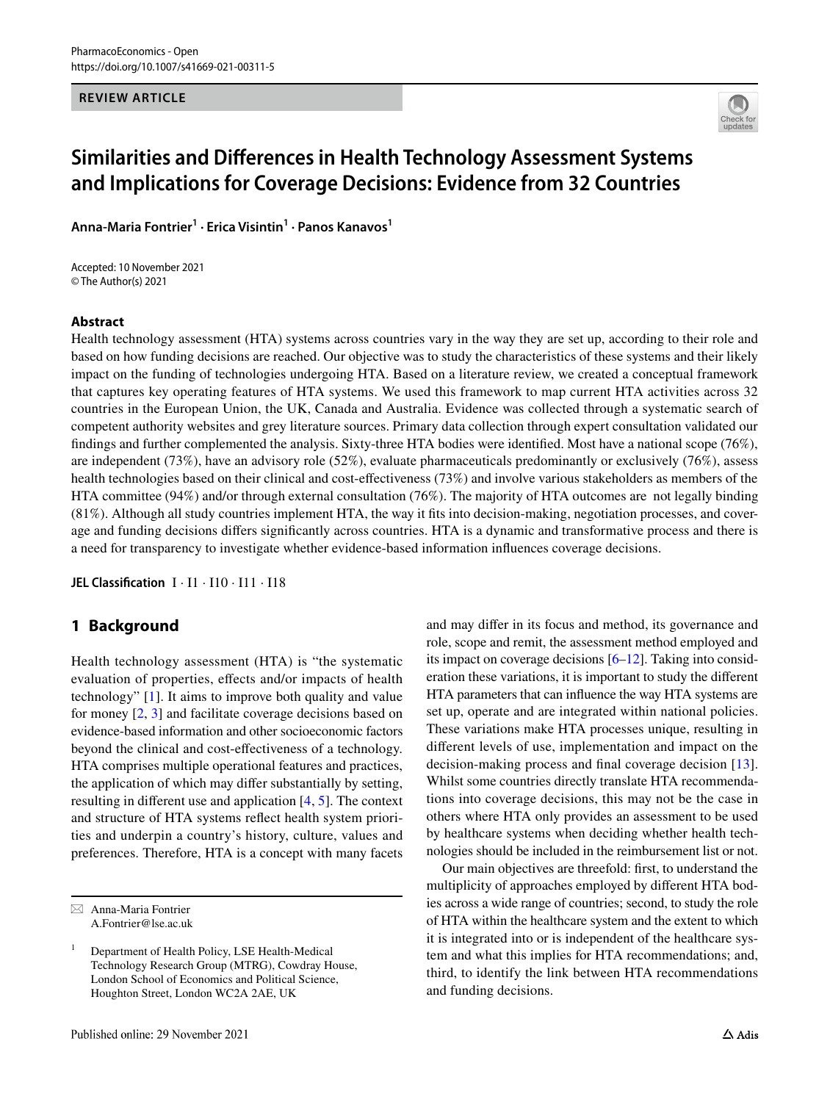**REVIEW ARTICLE**



# **Similarities and Diferences in Health Technology Assessment Systems and Implications for Coverage Decisions: Evidence from 32 Countries**

**Anna‑Maria Fontrier1 · Erica Visintin<sup>1</sup> · Panos Kanavos1**

Accepted: 10 November 2021 © The Author(s) 2021

#### **Abstract**

Health technology assessment (HTA) systems across countries vary in the way they are set up, according to their role and based on how funding decisions are reached. Our objective was to study the characteristics of these systems and their likely impact on the funding of technologies undergoing HTA. Based on a literature review, we created a conceptual framework that captures key operating features of HTA systems. We used this framework to map current HTA activities across 32 countries in the European Union, the UK, Canada and Australia. Evidence was collected through a systematic search of competent authority websites and grey literature sources. Primary data collection through expert consultation validated our fndings and further complemented the analysis. Sixty-three HTA bodies were identifed. Most have a national scope (76%), are independent (73%), have an advisory role (52%), evaluate pharmaceuticals predominantly or exclusively (76%), assess health technologies based on their clinical and cost-efectiveness (73%) and involve various stakeholders as members of the HTA committee (94%) and/or through external consultation (76%). The majority of HTA outcomes are not legally binding (81%). Although all study countries implement HTA, the way it fts into decision-making, negotiation processes, and coverage and funding decisions difers signifcantly across countries. HTA is a dynamic and transformative process and there is a need for transparency to investigate whether evidence-based information infuences coverage decisions.

**JEL Classifcation** I · I1 · I10 · I11 · I18

## **1 Background**

Health technology assessment (HTA) is "the systematic evaluation of properties, efects and/or impacts of health technology" [[1\]](#page-12-0). It aims to improve both quality and value for money [\[2](#page-12-1), [3\]](#page-12-2) and facilitate coverage decisions based on evidence-based information and other socioeconomic factors beyond the clinical and cost-efectiveness of a technology. HTA comprises multiple operational features and practices, the application of which may difer substantially by setting, resulting in diferent use and application [[4,](#page-12-3) [5](#page-12-4)]. The context and structure of HTA systems refect health system priorities and underpin a country's history, culture, values and preferences. Therefore, HTA is a concept with many facets and may difer in its focus and method, its governance and role, scope and remit, the assessment method employed and its impact on coverage decisions [\[6](#page-12-5)[–12](#page-12-6)]. Taking into consideration these variations, it is important to study the diferent HTA parameters that can infuence the way HTA systems are set up, operate and are integrated within national policies. These variations make HTA processes unique, resulting in diferent levels of use, implementation and impact on the decision-making process and fnal coverage decision [\[13](#page-12-7)]. Whilst some countries directly translate HTA recommendations into coverage decisions, this may not be the case in others where HTA only provides an assessment to be used by healthcare systems when deciding whether health technologies should be included in the reimbursement list or not.

Our main objectives are threefold: frst, to understand the multiplicity of approaches employed by diferent HTA bodies across a wide range of countries; second, to study the role of HTA within the healthcare system and the extent to which it is integrated into or is independent of the healthcare system and what this implies for HTA recommendations; and, third, to identify the link between HTA recommendations and funding decisions.

 $\boxtimes$  Anna-Maria Fontrier A.Fontrier@lse.ac.uk

<sup>&</sup>lt;sup>1</sup> Department of Health Policy, LSE Health-Medical Technology Research Group (MTRG), Cowdray House, London School of Economics and Political Science, Houghton Street, London WC2A 2AE, UK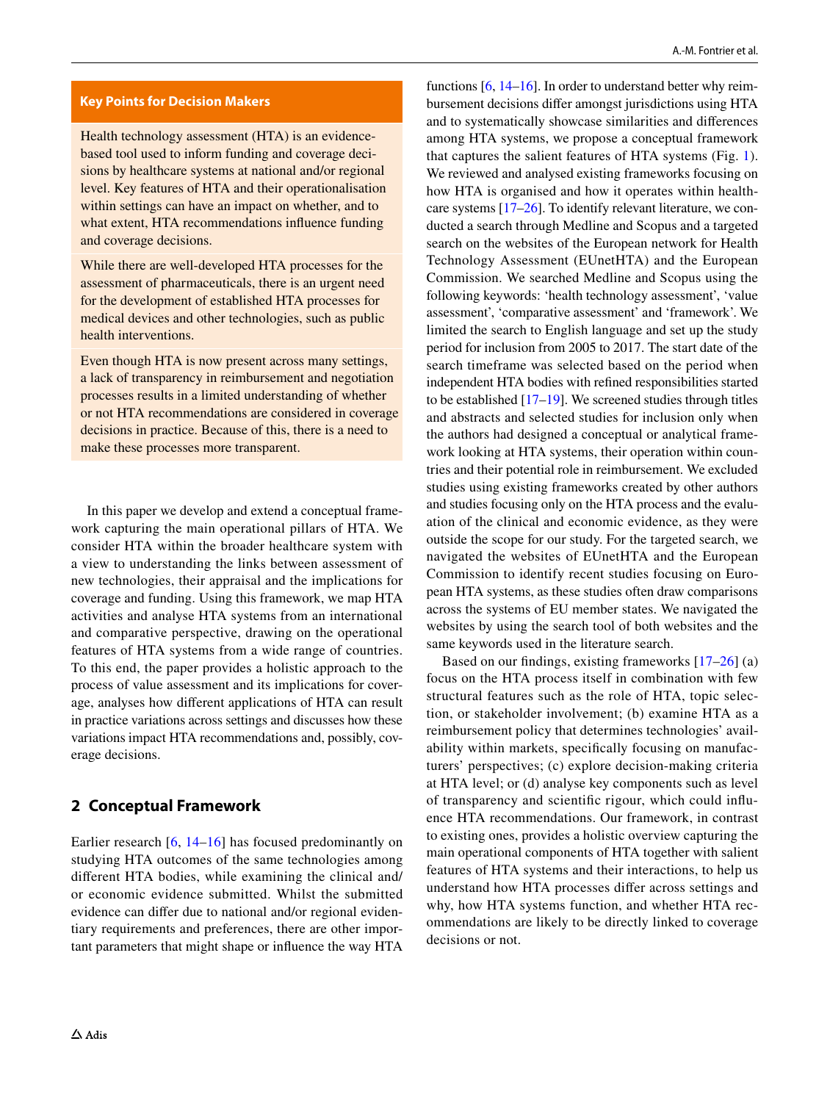#### **Key Points for Decision Makers**

Health technology assessment (HTA) is an evidencebased tool used to inform funding and coverage decisions by healthcare systems at national and/or regional level. Key features of HTA and their operationalisation within settings can have an impact on whether, and to what extent, HTA recommendations infuence funding and coverage decisions.

While there are well-developed HTA processes for the assessment of pharmaceuticals, there is an urgent need for the development of established HTA processes for medical devices and other technologies, such as public health interventions.

Even though HTA is now present across many settings, a lack of transparency in reimbursement and negotiation processes results in a limited understanding of whether or not HTA recommendations are considered in coverage decisions in practice. Because of this, there is a need to make these processes more transparent.

In this paper we develop and extend a conceptual framework capturing the main operational pillars of HTA. We consider HTA within the broader healthcare system with a view to understanding the links between assessment of new technologies, their appraisal and the implications for coverage and funding. Using this framework, we map HTA activities and analyse HTA systems from an international and comparative perspective, drawing on the operational features of HTA systems from a wide range of countries. To this end, the paper provides a holistic approach to the process of value assessment and its implications for coverage, analyses how diferent applications of HTA can result in practice variations across settings and discusses how these variations impact HTA recommendations and, possibly, coverage decisions.

### **2 Conceptual Framework**

Earlier research [\[6,](#page-12-5) [14](#page-12-8)–[16\]](#page-12-9) has focused predominantly on studying HTA outcomes of the same technologies among diferent HTA bodies, while examining the clinical and/ or economic evidence submitted. Whilst the submitted evidence can difer due to national and/or regional evidentiary requirements and preferences, there are other important parameters that might shape or infuence the way HTA

functions [\[6](#page-12-5), [14–](#page-12-8)[16\]](#page-12-9). In order to understand better why reimbursement decisions difer amongst jurisdictions using HTA and to systematically showcase similarities and diferences among HTA systems, we propose a conceptual framework that captures the salient features of HTA systems (Fig. [1](#page-2-0)). We reviewed and analysed existing frameworks focusing on how HTA is organised and how it operates within healthcare systems [\[17](#page-12-10)[–26\]](#page-13-0). To identify relevant literature, we conducted a search through Medline and Scopus and a targeted search on the websites of the European network for Health Technology Assessment (EUnetHTA) and the European Commission. We searched Medline and Scopus using the following keywords: 'health technology assessment', 'value assessment', 'comparative assessment' and 'framework'. We limited the search to English language and set up the study period for inclusion from 2005 to 2017. The start date of the search timeframe was selected based on the period when independent HTA bodies with refned responsibilities started to be established  $[17–19]$  $[17–19]$ . We screened studies through titles and abstracts and selected studies for inclusion only when the authors had designed a conceptual or analytical framework looking at HTA systems, their operation within countries and their potential role in reimbursement. We excluded studies using existing frameworks created by other authors and studies focusing only on the HTA process and the evaluation of the clinical and economic evidence, as they were outside the scope for our study. For the targeted search, we navigated the websites of EUnetHTA and the European Commission to identify recent studies focusing on European HTA systems, as these studies often draw comparisons across the systems of EU member states. We navigated the websites by using the search tool of both websites and the same keywords used in the literature search.

Based on our findings, existing frameworks  $[17–26]$  $[17–26]$  $[17–26]$  (a) focus on the HTA process itself in combination with few structural features such as the role of HTA, topic selection, or stakeholder involvement; (b) examine HTA as a reimbursement policy that determines technologies' availability within markets, specifcally focusing on manufacturers' perspectives; (c) explore decision-making criteria at HTA level; or (d) analyse key components such as level of transparency and scientifc rigour, which could infuence HTA recommendations. Our framework, in contrast to existing ones, provides a holistic overview capturing the main operational components of HTA together with salient features of HTA systems and their interactions, to help us understand how HTA processes difer across settings and why, how HTA systems function, and whether HTA recommendations are likely to be directly linked to coverage decisions or not.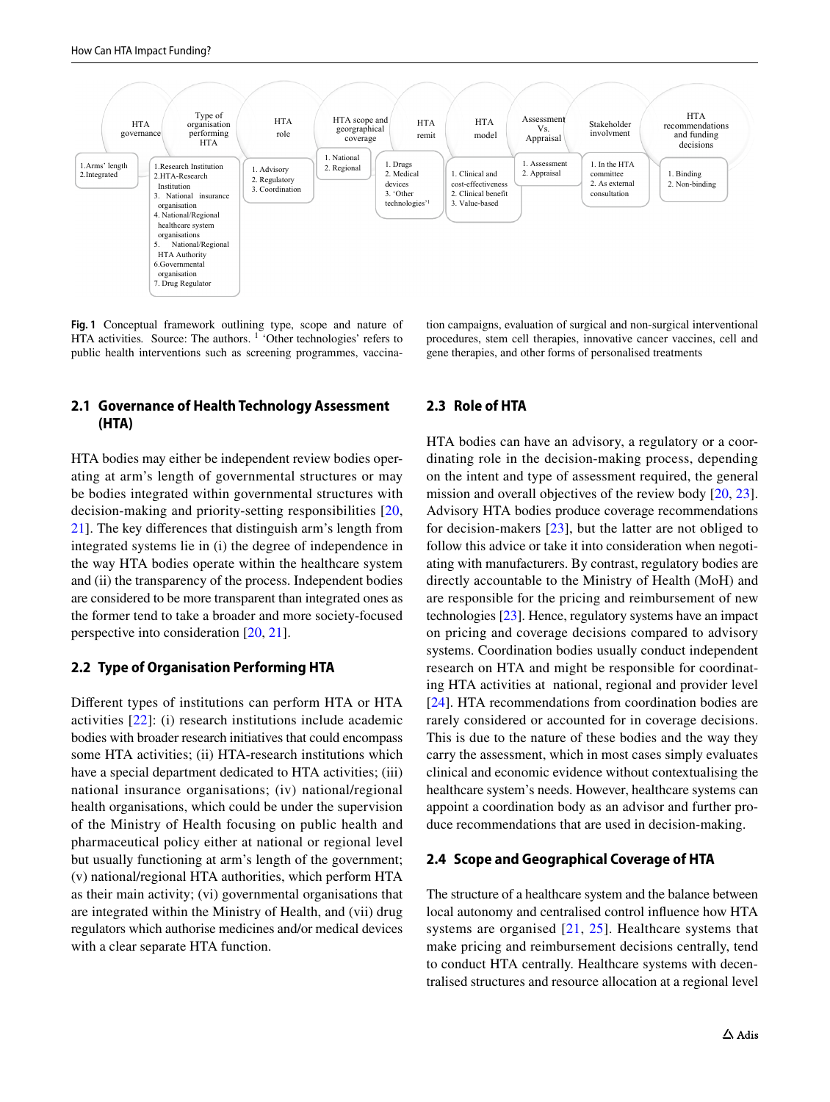

<span id="page-2-0"></span>**Fig. 1** Conceptual framework outlining type, scope and nature of HTA activities. Source: The authors. <sup>1</sup> 'Other technologies' refers to public health interventions such as screening programmes, vaccina-

#### tion campaigns, evaluation of surgical and non-surgical interventional procedures, stem cell therapies, innovative cancer vaccines, cell and gene therapies, and other forms of personalised treatments

## **2.1 Governance of Health Technology Assessment (HTA)**

HTA bodies may either be independent review bodies operating at arm's length of governmental structures or may be bodies integrated within governmental structures with decision-making and priority-setting responsibilities [\[20,](#page-13-1) [21](#page-13-2)]. The key diferences that distinguish arm's length from integrated systems lie in (i) the degree of independence in the way HTA bodies operate within the healthcare system and (ii) the transparency of the process. Independent bodies are considered to be more transparent than integrated ones as the former tend to take a broader and more society-focused perspective into consideration [[20,](#page-13-1) [21\]](#page-13-2).

#### **2.2 Type of Organisation Performing HTA**

Diferent types of institutions can perform HTA or HTA activities [[22\]](#page-13-3): (i) research institutions include academic bodies with broader research initiatives that could encompass some HTA activities; (ii) HTA-research institutions which have a special department dedicated to HTA activities; (iii) national insurance organisations; (iv) national/regional health organisations, which could be under the supervision of the Ministry of Health focusing on public health and pharmaceutical policy either at national or regional level but usually functioning at arm's length of the government; (v) national/regional HTA authorities, which perform HTA as their main activity; (vi) governmental organisations that are integrated within the Ministry of Health, and (vii) drug regulators which authorise medicines and/or medical devices with a clear separate HTA function.

### **2.3 Role of HTA**

HTA bodies can have an advisory, a regulatory or a coordinating role in the decision-making process, depending on the intent and type of assessment required, the general mission and overall objectives of the review body [[20](#page-13-1), [23](#page-13-4)]. Advisory HTA bodies produce coverage recommendations for decision-makers [[23](#page-13-4)], but the latter are not obliged to follow this advice or take it into consideration when negotiating with manufacturers. By contrast, regulatory bodies are directly accountable to the Ministry of Health (MoH) and are responsible for the pricing and reimbursement of new technologies [\[23](#page-13-4)]. Hence, regulatory systems have an impact on pricing and coverage decisions compared to advisory systems. Coordination bodies usually conduct independent research on HTA and might be responsible for coordinating HTA activities at national, regional and provider level [[24\]](#page-13-5). HTA recommendations from coordination bodies are rarely considered or accounted for in coverage decisions. This is due to the nature of these bodies and the way they carry the assessment, which in most cases simply evaluates clinical and economic evidence without contextualising the healthcare system's needs. However, healthcare systems can appoint a coordination body as an advisor and further produce recommendations that are used in decision-making.

#### **2.4 Scope and Geographical Coverage of HTA**

The structure of a healthcare system and the balance between local autonomy and centralised control infuence how HTA systems are organised [\[21,](#page-13-2) [25](#page-13-6)]. Healthcare systems that make pricing and reimbursement decisions centrally, tend to conduct HTA centrally. Healthcare systems with decentralised structures and resource allocation at a regional level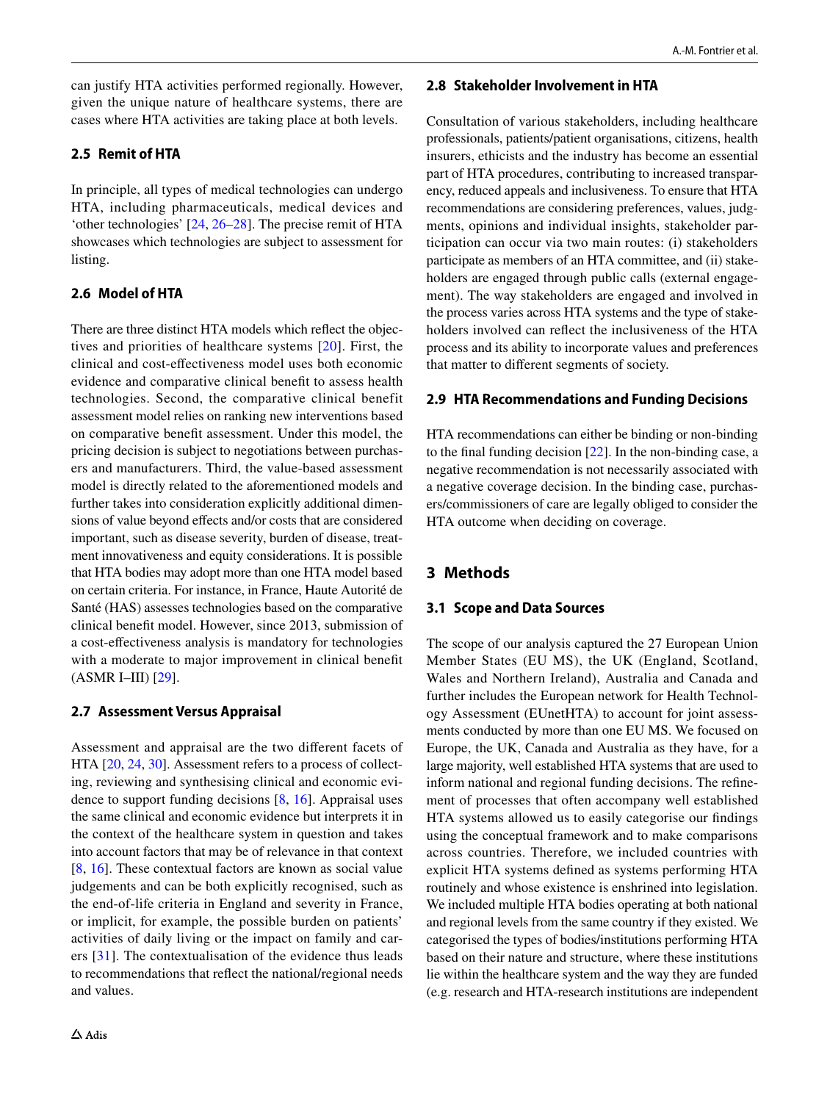can justify HTA activities performed regionally. However, given the unique nature of healthcare systems, there are cases where HTA activities are taking place at both levels.

## **2.5 Remit of HTA**

In principle, all types of medical technologies can undergo HTA, including pharmaceuticals, medical devices and 'other technologies' [\[24](#page-13-5), [26](#page-13-0)[–28](#page-13-7)]. The precise remit of HTA showcases which technologies are subject to assessment for listing.

## **2.6 Model of HTA**

There are three distinct HTA models which refect the objectives and priorities of healthcare systems [[20\]](#page-13-1). First, the clinical and cost-efectiveness model uses both economic evidence and comparative clinical beneft to assess health technologies. Second, the comparative clinical benefit assessment model relies on ranking new interventions based on comparative beneft assessment. Under this model, the pricing decision is subject to negotiations between purchasers and manufacturers. Third, the value-based assessment model is directly related to the aforementioned models and further takes into consideration explicitly additional dimensions of value beyond effects and/or costs that are considered important, such as disease severity, burden of disease, treatment innovativeness and equity considerations. It is possible that HTA bodies may adopt more than one HTA model based on certain criteria. For instance, in France, Haute Autorité de Santé (HAS) assesses technologies based on the comparative clinical beneft model. However, since 2013, submission of a cost-efectiveness analysis is mandatory for technologies with a moderate to major improvement in clinical beneft (ASMR I–III) [\[29](#page-13-8)].

## **2.7 Assessment Versus Appraisal**

Assessment and appraisal are the two diferent facets of HTA [[20,](#page-13-1) [24,](#page-13-5) [30](#page-13-9)]. Assessment refers to a process of collecting, reviewing and synthesising clinical and economic evidence to support funding decisions [\[8](#page-12-12), [16\]](#page-12-9). Appraisal uses the same clinical and economic evidence but interprets it in the context of the healthcare system in question and takes into account factors that may be of relevance in that context [\[8](#page-12-12), [16\]](#page-12-9). These contextual factors are known as social value judgements and can be both explicitly recognised, such as the end-of-life criteria in England and severity in France, or implicit, for example, the possible burden on patients' activities of daily living or the impact on family and carers [[31\]](#page-13-10). The contextualisation of the evidence thus leads to recommendations that refect the national/regional needs and values.

## **2.8 Stakeholder Involvement in HTA**

Consultation of various stakeholders, including healthcare professionals, patients/patient organisations, citizens, health insurers, ethicists and the industry has become an essential part of HTA procedures, contributing to increased transparency, reduced appeals and inclusiveness. To ensure that HTA recommendations are considering preferences, values, judgments, opinions and individual insights, stakeholder participation can occur via two main routes: (i) stakeholders participate as members of an HTA committee, and (ii) stakeholders are engaged through public calls (external engagement). The way stakeholders are engaged and involved in the process varies across HTA systems and the type of stakeholders involved can refect the inclusiveness of the HTA process and its ability to incorporate values and preferences that matter to diferent segments of society.

## **2.9 HTA Recommendations and Funding Decisions**

HTA recommendations can either be binding or non-binding to the fnal funding decision [\[22](#page-13-3)]. In the non-binding case, a negative recommendation is not necessarily associated with a negative coverage decision. In the binding case, purchasers/commissioners of care are legally obliged to consider the HTA outcome when deciding on coverage.

## **3 Methods**

## **3.1 Scope and Data Sources**

The scope of our analysis captured the 27 European Union Member States (EU MS), the UK (England, Scotland, Wales and Northern Ireland), Australia and Canada and further includes the European network for Health Technology Assessment (EUnetHTA) to account for joint assessments conducted by more than one EU MS. We focused on Europe, the UK, Canada and Australia as they have, for a large majority, well established HTA systems that are used to inform national and regional funding decisions. The refnement of processes that often accompany well established HTA systems allowed us to easily categorise our fndings using the conceptual framework and to make comparisons across countries. Therefore, we included countries with explicit HTA systems defned as systems performing HTA routinely and whose existence is enshrined into legislation. We included multiple HTA bodies operating at both national and regional levels from the same country if they existed. We categorised the types of bodies/institutions performing HTA based on their nature and structure, where these institutions lie within the healthcare system and the way they are funded (e.g. research and HTA-research institutions are independent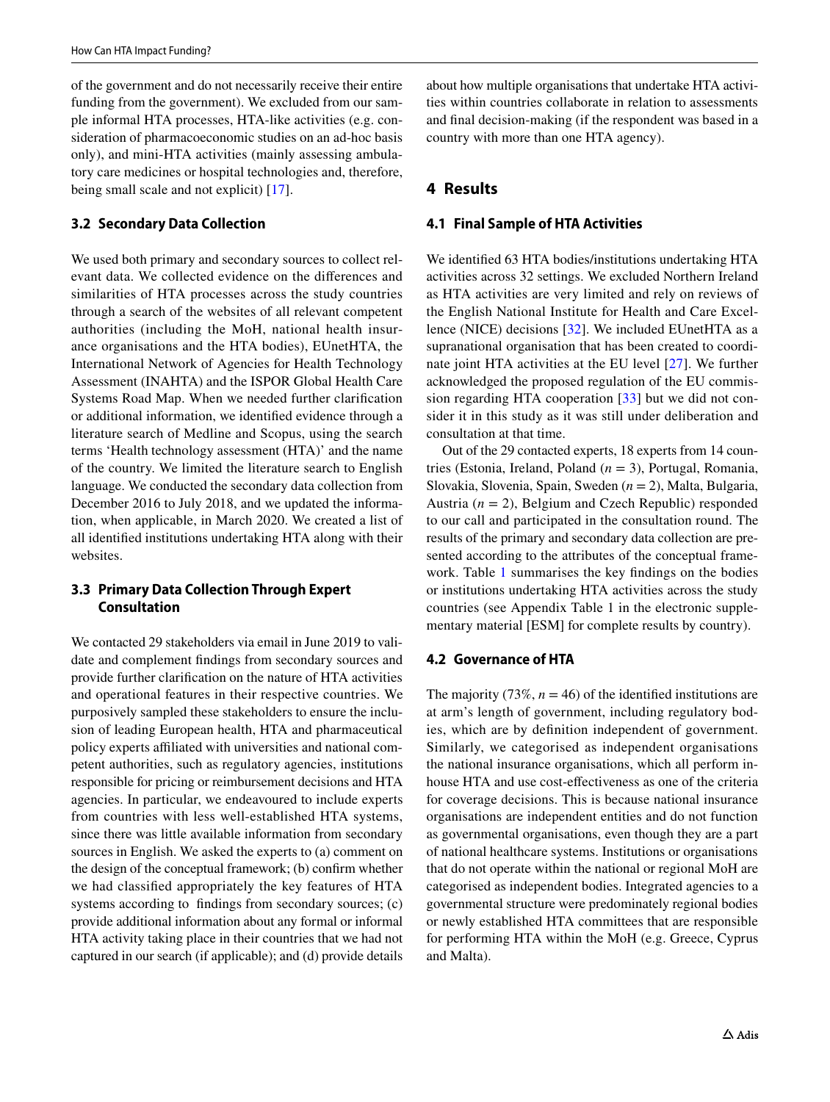of the government and do not necessarily receive their entire funding from the government). We excluded from our sample informal HTA processes, HTA-like activities (e.g. consideration of pharmacoeconomic studies on an ad-hoc basis only), and mini-HTA activities (mainly assessing ambulatory care medicines or hospital technologies and, therefore, being small scale and not explicit) [[17\]](#page-12-10).

## **3.2 Secondary Data Collection**

We used both primary and secondary sources to collect relevant data. We collected evidence on the diferences and similarities of HTA processes across the study countries through a search of the websites of all relevant competent authorities (including the MoH, national health insurance organisations and the HTA bodies), EUnetHTA, the International Network of Agencies for Health Technology Assessment (INAHTA) and the ISPOR Global Health Care Systems Road Map. When we needed further clarifcation or additional information, we identifed evidence through a literature search of Medline and Scopus, using the search terms 'Health technology assessment (HTA)' and the name of the country. We limited the literature search to English language. We conducted the secondary data collection from December 2016 to July 2018, and we updated the information, when applicable, in March 2020. We created a list of all identifed institutions undertaking HTA along with their websites.

## **3.3 Primary Data Collection Through Expert Consultation**

We contacted 29 stakeholders via email in June 2019 to validate and complement fndings from secondary sources and provide further clarifcation on the nature of HTA activities and operational features in their respective countries. We purposively sampled these stakeholders to ensure the inclusion of leading European health, HTA and pharmaceutical policy experts afliated with universities and national competent authorities, such as regulatory agencies, institutions responsible for pricing or reimbursement decisions and HTA agencies. In particular, we endeavoured to include experts from countries with less well-established HTA systems, since there was little available information from secondary sources in English. We asked the experts to (a) comment on the design of the conceptual framework; (b) confrm whether we had classifed appropriately the key features of HTA systems according to fndings from secondary sources; (c) provide additional information about any formal or informal HTA activity taking place in their countries that we had not captured in our search (if applicable); and (d) provide details about how multiple organisations that undertake HTA activities within countries collaborate in relation to assessments and fnal decision-making (if the respondent was based in a country with more than one HTA agency).

## **4 Results**

## **4.1 Final Sample of HTA Activities**

We identifed 63 HTA bodies/institutions undertaking HTA activities across 32 settings. We excluded Northern Ireland as HTA activities are very limited and rely on reviews of the English National Institute for Health and Care Excellence (NICE) decisions [\[32](#page-13-11)]. We included EUnetHTA as a supranational organisation that has been created to coordinate joint HTA activities at the EU level [\[27\]](#page-13-12). We further acknowledged the proposed regulation of the EU commission regarding HTA cooperation [[33](#page-13-13)] but we did not consider it in this study as it was still under deliberation and consultation at that time.

Out of the 29 contacted experts, 18 experts from 14 countries (Estonia, Ireland, Poland (*n* = 3), Portugal, Romania, Slovakia, Slovenia, Spain, Sweden (*n* = 2), Malta, Bulgaria, Austria  $(n = 2)$ , Belgium and Czech Republic) responded to our call and participated in the consultation round. The results of the primary and secondary data collection are presented according to the attributes of the conceptual framework. Table [1](#page-6-0) summarises the key fndings on the bodies or institutions undertaking HTA activities across the study countries (see Appendix Table 1 in the electronic supplementary material [ESM] for complete results by country).

## **4.2 Governance of HTA**

The majority (73%,  $n = 46$ ) of the identified institutions are at arm's length of government, including regulatory bodies, which are by defnition independent of government. Similarly, we categorised as independent organisations the national insurance organisations, which all perform inhouse HTA and use cost-efectiveness as one of the criteria for coverage decisions. This is because national insurance organisations are independent entities and do not function as governmental organisations, even though they are a part of national healthcare systems. Institutions or organisations that do not operate within the national or regional MoH are categorised as independent bodies. Integrated agencies to a governmental structure were predominately regional bodies or newly established HTA committees that are responsible for performing HTA within the MoH (e.g. Greece, Cyprus and Malta).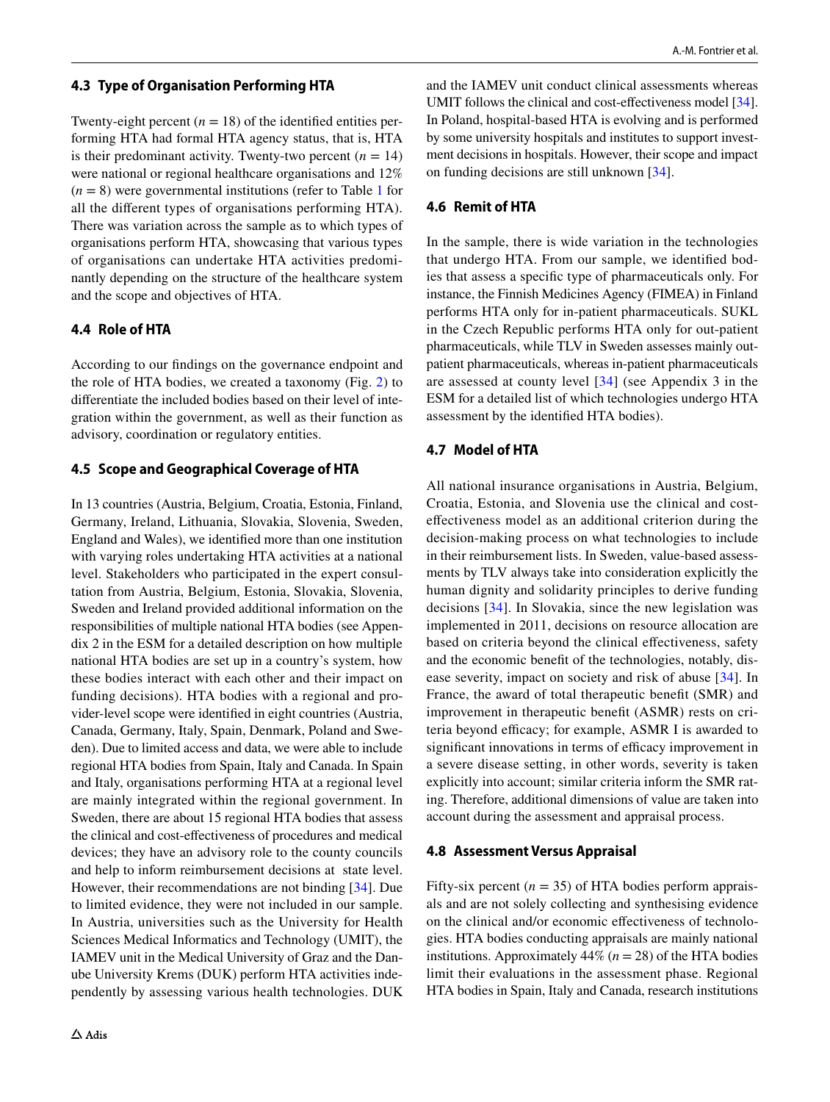#### **4.3 Type of Organisation Performing HTA**

Twenty-eight percent  $(n = 18)$  of the identified entities performing HTA had formal HTA agency status, that is, HTA is their predominant activity. Twenty-two percent  $(n = 14)$ were national or regional healthcare organisations and 12%  $(n = 8)$  were governmental institutions (refer to Table [1](#page-6-0) for all the diferent types of organisations performing HTA). There was variation across the sample as to which types of organisations perform HTA, showcasing that various types of organisations can undertake HTA activities predominantly depending on the structure of the healthcare system and the scope and objectives of HTA.

## **4.4 Role of HTA**

According to our fndings on the governance endpoint and the role of HTA bodies, we created a taxonomy (Fig. [2](#page-8-0)) to diferentiate the included bodies based on their level of integration within the government, as well as their function as advisory, coordination or regulatory entities.

## **4.5 Scope and Geographical Coverage of HTA**

In 13 countries (Austria, Belgium, Croatia, Estonia, Finland, Germany, Ireland, Lithuania, Slovakia, Slovenia, Sweden, England and Wales), we identifed more than one institution with varying roles undertaking HTA activities at a national level. Stakeholders who participated in the expert consultation from Austria, Belgium, Estonia, Slovakia, Slovenia, Sweden and Ireland provided additional information on the responsibilities of multiple national HTA bodies (see Appendix 2 in the ESM for a detailed description on how multiple national HTA bodies are set up in a country's system, how these bodies interact with each other and their impact on funding decisions). HTA bodies with a regional and provider-level scope were identifed in eight countries (Austria, Canada, Germany, Italy, Spain, Denmark, Poland and Sweden). Due to limited access and data, we were able to include regional HTA bodies from Spain, Italy and Canada. In Spain and Italy, organisations performing HTA at a regional level are mainly integrated within the regional government. In Sweden, there are about 15 regional HTA bodies that assess the clinical and cost-efectiveness of procedures and medical devices; they have an advisory role to the county councils and help to inform reimbursement decisions at state level. However, their recommendations are not binding [[34](#page-13-14)]. Due to limited evidence, they were not included in our sample. In Austria, universities such as the University for Health Sciences Medical Informatics and Technology (UMIT), the IAMEV unit in the Medical University of Graz and the Danube University Krems (DUK) perform HTA activities independently by assessing various health technologies. DUK and the IAMEV unit conduct clinical assessments whereas UMIT follows the clinical and cost-effectiveness model [[34](#page-13-14)]. In Poland, hospital-based HTA is evolving and is performed by some university hospitals and institutes to support investment decisions in hospitals. However, their scope and impact on funding decisions are still unknown [\[34](#page-13-14)].

## **4.6 Remit of HTA**

In the sample, there is wide variation in the technologies that undergo HTA. From our sample, we identifed bodies that assess a specifc type of pharmaceuticals only. For instance, the Finnish Medicines Agency (FIMEA) in Finland performs HTA only for in-patient pharmaceuticals. SUKL in the Czech Republic performs HTA only for out-patient pharmaceuticals, while TLV in Sweden assesses mainly outpatient pharmaceuticals, whereas in-patient pharmaceuticals are assessed at county level [[34\]](#page-13-14) (see Appendix 3 in the ESM for a detailed list of which technologies undergo HTA assessment by the identifed HTA bodies).

## **4.7 Model of HTA**

All national insurance organisations in Austria, Belgium, Croatia, Estonia, and Slovenia use the clinical and costefectiveness model as an additional criterion during the decision-making process on what technologies to include in their reimbursement lists. In Sweden, value-based assessments by TLV always take into consideration explicitly the human dignity and solidarity principles to derive funding decisions [[34](#page-13-14)]. In Slovakia, since the new legislation was implemented in 2011, decisions on resource allocation are based on criteria beyond the clinical efectiveness, safety and the economic beneft of the technologies, notably, disease severity, impact on society and risk of abuse [[34\]](#page-13-14). In France, the award of total therapeutic beneft (SMR) and improvement in therapeutic beneft (ASMR) rests on criteria beyond efficacy; for example, ASMR I is awarded to significant innovations in terms of efficacy improvement in a severe disease setting, in other words, severity is taken explicitly into account; similar criteria inform the SMR rating. Therefore, additional dimensions of value are taken into account during the assessment and appraisal process.

### **4.8 Assessment Versus Appraisal**

Fifty-six percent  $(n = 35)$  of HTA bodies perform appraisals and are not solely collecting and synthesising evidence on the clinical and/or economic efectiveness of technologies. HTA bodies conducting appraisals are mainly national institutions. Approximately  $44\%$  ( $n = 28$ ) of the HTA bodies limit their evaluations in the assessment phase. Regional HTA bodies in Spain, Italy and Canada, research institutions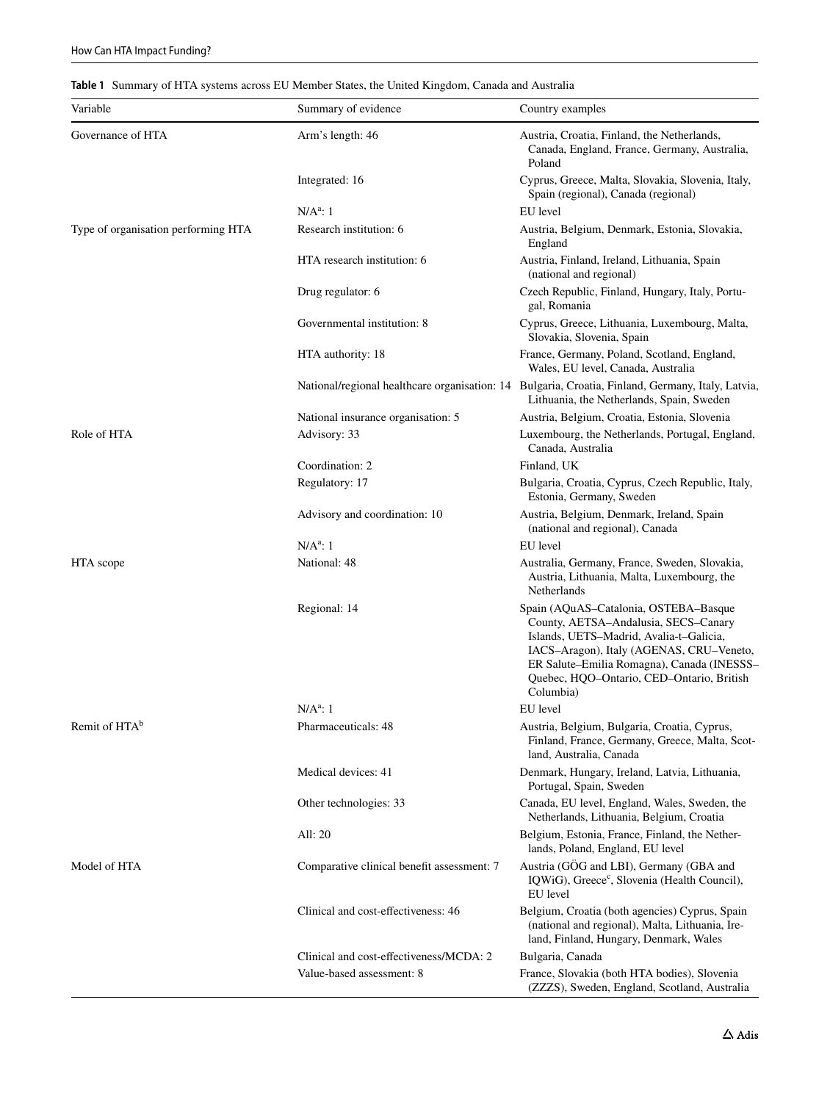## <span id="page-6-0"></span>**Table 1** Summary of HTA systems across EU Member States, the United Kingdom, Canada and Australia

| Variable                            | Summary of evidence                        | Country examples                                                                                                                                                                                                                                                             |
|-------------------------------------|--------------------------------------------|------------------------------------------------------------------------------------------------------------------------------------------------------------------------------------------------------------------------------------------------------------------------------|
| Governance of HTA                   | Arm's length: 46                           | Austria, Croatia, Finland, the Netherlands,<br>Canada, England, France, Germany, Australia,<br>Poland                                                                                                                                                                        |
|                                     | Integrated: 16                             | Cyprus, Greece, Malta, Slovakia, Slovenia, Italy,<br>Spain (regional), Canada (regional)                                                                                                                                                                                     |
|                                     | $N/A^a$ : 1                                | EU level                                                                                                                                                                                                                                                                     |
| Type of organisation performing HTA | Research institution: 6                    | Austria, Belgium, Denmark, Estonia, Slovakia,<br>England                                                                                                                                                                                                                     |
|                                     | HTA research institution: 6                | Austria, Finland, Ireland, Lithuania, Spain<br>(national and regional)                                                                                                                                                                                                       |
|                                     | Drug regulator: 6                          | Czech Republic, Finland, Hungary, Italy, Portu-<br>gal, Romania                                                                                                                                                                                                              |
|                                     | Governmental institution: 8                | Cyprus, Greece, Lithuania, Luxembourg, Malta,<br>Slovakia, Slovenia, Spain                                                                                                                                                                                                   |
|                                     | HTA authority: 18                          | France, Germany, Poland, Scotland, England,<br>Wales, EU level, Canada, Australia                                                                                                                                                                                            |
|                                     |                                            | National/regional healthcare organisation: 14 Bulgaria, Croatia, Finland, Germany, Italy, Latvia,<br>Lithuania, the Netherlands, Spain, Sweden                                                                                                                               |
|                                     | National insurance organisation: 5         | Austria, Belgium, Croatia, Estonia, Slovenia                                                                                                                                                                                                                                 |
| Role of HTA                         | Advisory: 33                               | Luxembourg, the Netherlands, Portugal, England,<br>Canada, Australia                                                                                                                                                                                                         |
|                                     | Coordination: 2                            | Finland, UK                                                                                                                                                                                                                                                                  |
|                                     | Regulatory: 17                             | Bulgaria, Croatia, Cyprus, Czech Republic, Italy,<br>Estonia, Germany, Sweden                                                                                                                                                                                                |
|                                     | Advisory and coordination: 10              | Austria, Belgium, Denmark, Ireland, Spain<br>(national and regional), Canada                                                                                                                                                                                                 |
|                                     | $N/A^a$ : 1                                | EU level                                                                                                                                                                                                                                                                     |
| HTA scope                           | National: 48                               | Australia, Germany, France, Sweden, Slovakia,<br>Austria, Lithuania, Malta, Luxembourg, the<br>Netherlands                                                                                                                                                                   |
|                                     | Regional: 14                               | Spain (AQuAS-Catalonia, OSTEBA-Basque<br>County, AETSA-Andalusia, SECS-Canary<br>Islands, UETS-Madrid, Avalia-t-Galicia,<br>IACS-Aragon), Italy (AGENAS, CRU-Veneto,<br>ER Salute-Emilia Romagna), Canada (INESSS-<br>Quebec, HQO-Ontario, CED-Ontario, British<br>Columbia) |
|                                     | $N/A^a$ : 1                                | EU level                                                                                                                                                                                                                                                                     |
| Remit of HTA <sup>b</sup>           | Pharmaceuticals: 48                        | Austria, Belgium, Bulgaria, Croatia, Cyprus,<br>Finland, France, Germany, Greece, Malta, Scot-<br>land, Australia, Canada                                                                                                                                                    |
|                                     | Medical devices: 41                        | Denmark, Hungary, Ireland, Latvia, Lithuania,<br>Portugal, Spain, Sweden                                                                                                                                                                                                     |
|                                     | Other technologies: 33                     | Canada, EU level, England, Wales, Sweden, the<br>Netherlands, Lithuania, Belgium, Croatia                                                                                                                                                                                    |
|                                     | All: 20                                    | Belgium, Estonia, France, Finland, the Nether-<br>lands, Poland, England, EU level                                                                                                                                                                                           |
| Model of HTA                        | Comparative clinical benefit assessment: 7 | Austria (GÖG and LBI), Germany (GBA and<br>IQWiG), Greece <sup>c</sup> , Slovenia (Health Council),<br>EU level                                                                                                                                                              |
|                                     | Clinical and cost-effectiveness: 46        | Belgium, Croatia (both agencies) Cyprus, Spain<br>(national and regional), Malta, Lithuania, Ire-<br>land, Finland, Hungary, Denmark, Wales                                                                                                                                  |
|                                     | Clinical and cost-effectiveness/MCDA: 2    | Bulgaria, Canada                                                                                                                                                                                                                                                             |
|                                     | Value-based assessment: 8                  | France, Slovakia (both HTA bodies), Slovenia<br>(ZZZS), Sweden, England, Scotland, Australia                                                                                                                                                                                 |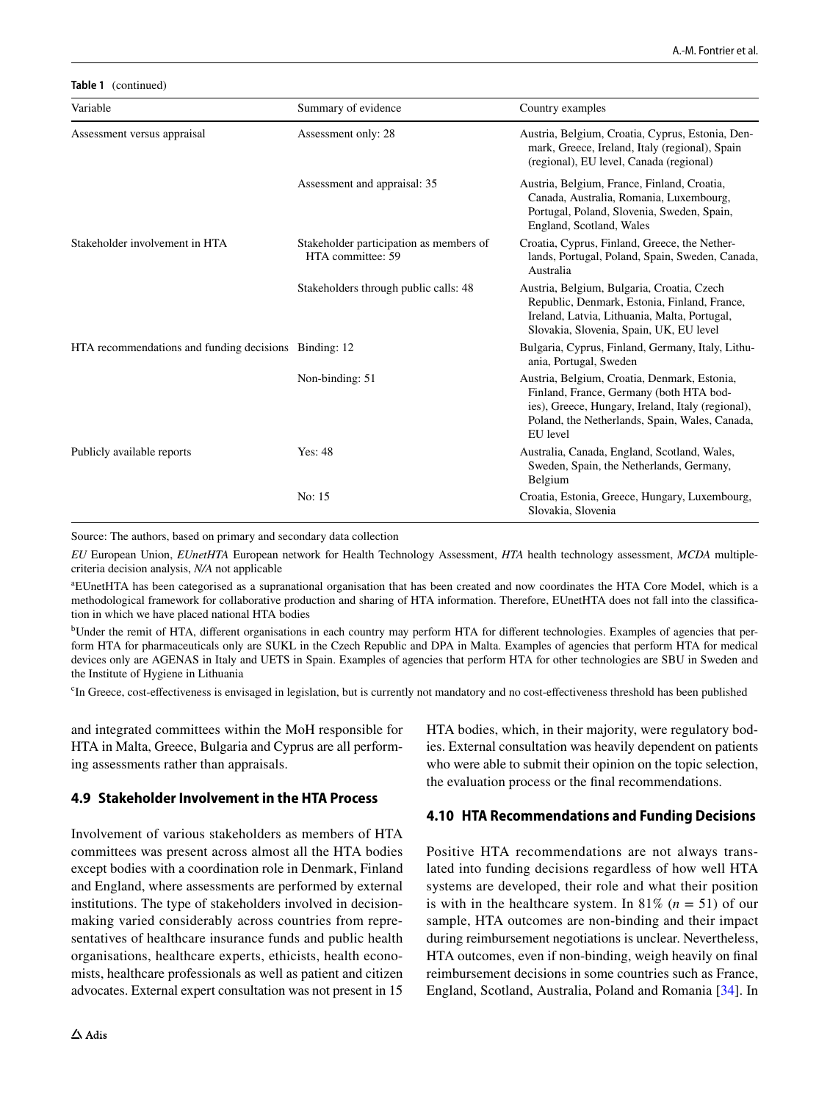**Table 1** (continued) Variable **Summary of evidence** Country examples Assessment versus appraisal Assessment only: 28 Austria, Belgium, Croatia, Cyprus, Estonia, Denmark, Greece, Ireland, Italy (regional), Spain (regional), EU level, Canada (regional) Assessment and appraisal: 35 Austria, Belgium, France, Finland, Croatia, Canada, Australia, Romania, Luxembourg, Portugal, Poland, Slovenia, Sweden, Spain, England, Scotland, Wales Stakeholder involvement in HTA Stakeholder participation as members of HTA committee: 59 Croatia, Cyprus, Finland, Greece, the Netherlands, Portugal, Poland, Spain, Sweden, Canada, Australia Stakeholders through public calls: 48 Austria, Belgium, Bulgaria, Croatia, Czech Republic, Denmark, Estonia, Finland, France, Ireland, Latvia, Lithuania, Malta, Portugal, Slovakia, Slovenia, Spain, UK, EU level HTA recommendations and funding decisions Binding: 12 Bulgaria, Cyprus, Finland, Germany, Italy, Lithuania, Portugal, Sweden Non-binding: 51 Austria, Belgium, Croatia, Denmark, Estonia, Finland, France, Germany (both HTA bodies), Greece, Hungary, Ireland, Italy (regional), Poland, the Netherlands, Spain, Wales, Canada, EU level Publicly available reports Yes: 48 Yes: 48 Australia, Canada, England, Scotland, Wales, Sweden, Spain, the Netherlands, Germany, Belgium No: 15 Croatia, Estonia, Greece, Hungary, Luxembourg, Slovakia, Slovenia

Source: The authors, based on primary and secondary data collection

*EU* European Union, *EUnetHTA* European network for Health Technology Assessment, *HTA* health technology assessment, *MCDA* multiplecriteria decision analysis, *N/A* not applicable

a EUnetHTA has been categorised as a supranational organisation that has been created and now coordinates the HTA Core Model, which is a methodological framework for collaborative production and sharing of HTA information. Therefore, EUnetHTA does not fall into the classifcation in which we have placed national HTA bodies

<sup>b</sup>Under the remit of HTA, different organisations in each country may perform HTA for different technologies. Examples of agencies that perform HTA for pharmaceuticals only are SUKL in the Czech Republic and DPA in Malta. Examples of agencies that perform HTA for medical devices only are AGENAS in Italy and UETS in Spain. Examples of agencies that perform HTA for other technologies are SBU in Sweden and the Institute of Hygiene in Lithuania

<sup>c</sup>In Greece, cost-effectiveness is envisaged in legislation, but is currently not mandatory and no cost-effectiveness threshold has been published

and integrated committees within the MoH responsible for HTA in Malta, Greece, Bulgaria and Cyprus are all performing assessments rather than appraisals.

## **4.9 Stakeholder Involvement in the HTA Process**

Involvement of various stakeholders as members of HTA committees was present across almost all the HTA bodies except bodies with a coordination role in Denmark, Finland and England, where assessments are performed by external institutions. The type of stakeholders involved in decisionmaking varied considerably across countries from representatives of healthcare insurance funds and public health organisations, healthcare experts, ethicists, health economists, healthcare professionals as well as patient and citizen advocates. External expert consultation was not present in 15 HTA bodies, which, in their majority, were regulatory bodies. External consultation was heavily dependent on patients who were able to submit their opinion on the topic selection, the evaluation process or the fnal recommendations.

### **4.10 HTA Recommendations and Funding Decisions**

Positive HTA recommendations are not always translated into funding decisions regardless of how well HTA systems are developed, their role and what their position is with in the healthcare system. In 81% ( $n = 51$ ) of our sample, HTA outcomes are non-binding and their impact during reimbursement negotiations is unclear. Nevertheless, HTA outcomes, even if non-binding, weigh heavily on fnal reimbursement decisions in some countries such as France, England, Scotland, Australia, Poland and Romania [\[34](#page-13-14)]. In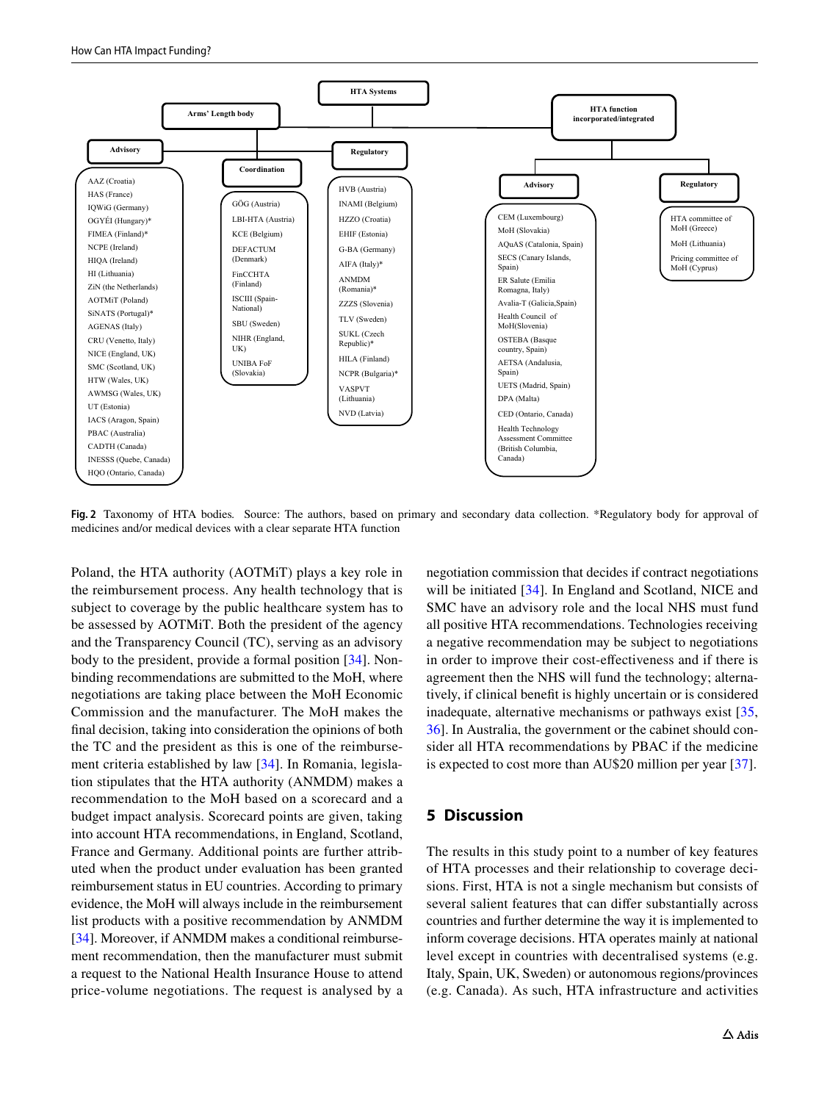

<span id="page-8-0"></span>**Fig. 2** Taxonomy of HTA bodies*.* Source: The authors, based on primary and secondary data collection. \*Regulatory body for approval of medicines and/or medical devices with a clear separate HTA function

Poland, the HTA authority (AOTMiT) plays a key role in the reimbursement process. Any health technology that is subject to coverage by the public healthcare system has to be assessed by AOTMiT. Both the president of the agency and the Transparency Council (TC), serving as an advisory body to the president, provide a formal position [[34](#page-13-14)]. Nonbinding recommendations are submitted to the MoH, where negotiations are taking place between the MoH Economic Commission and the manufacturer. The MoH makes the fnal decision, taking into consideration the opinions of both the TC and the president as this is one of the reimbursement criteria established by law [\[34](#page-13-14)]. In Romania, legislation stipulates that the HTA authority (ANMDM) makes a recommendation to the MoH based on a scorecard and a budget impact analysis. Scorecard points are given, taking into account HTA recommendations, in England, Scotland, France and Germany. Additional points are further attributed when the product under evaluation has been granted reimbursement status in EU countries. According to primary evidence, the MoH will always include in the reimbursement list products with a positive recommendation by ANMDM [\[34](#page-13-14)]. Moreover, if ANMDM makes a conditional reimbursement recommendation, then the manufacturer must submit a request to the National Health Insurance House to attend price-volume negotiations. The request is analysed by a negotiation commission that decides if contract negotiations will be initiated [\[34](#page-13-14)]. In England and Scotland, NICE and SMC have an advisory role and the local NHS must fund all positive HTA recommendations. Technologies receiving a negative recommendation may be subject to negotiations in order to improve their cost-efectiveness and if there is agreement then the NHS will fund the technology; alternatively, if clinical beneft is highly uncertain or is considered inadequate, alternative mechanisms or pathways exist [[35,](#page-13-15) [36](#page-13-16)]. In Australia, the government or the cabinet should consider all HTA recommendations by PBAC if the medicine is expected to cost more than AU\$20 million per year [\[37](#page-13-17)].

## **5 Discussion**

The results in this study point to a number of key features of HTA processes and their relationship to coverage decisions. First, HTA is not a single mechanism but consists of several salient features that can difer substantially across countries and further determine the way it is implemented to inform coverage decisions. HTA operates mainly at national level except in countries with decentralised systems (e.g. Italy, Spain, UK, Sweden) or autonomous regions/provinces (e.g. Canada). As such, HTA infrastructure and activities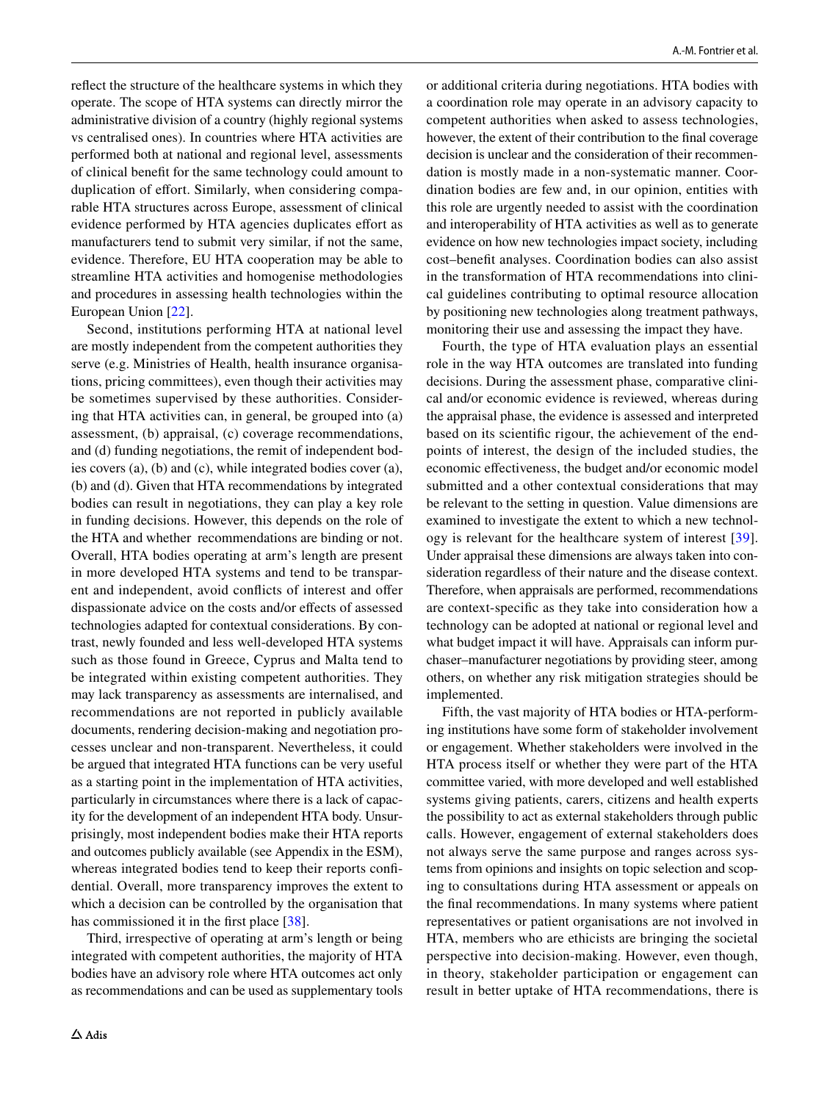refect the structure of the healthcare systems in which they operate. The scope of HTA systems can directly mirror the administrative division of a country (highly regional systems vs centralised ones). In countries where HTA activities are performed both at national and regional level, assessments of clinical beneft for the same technology could amount to duplication of effort. Similarly, when considering comparable HTA structures across Europe, assessment of clinical evidence performed by HTA agencies duplicates efort as manufacturers tend to submit very similar, if not the same, evidence. Therefore, EU HTA cooperation may be able to streamline HTA activities and homogenise methodologies and procedures in assessing health technologies within the European Union [[22](#page-13-3)].

Second, institutions performing HTA at national level are mostly independent from the competent authorities they serve (e.g. Ministries of Health, health insurance organisations, pricing committees), even though their activities may be sometimes supervised by these authorities. Considering that HTA activities can, in general, be grouped into (a) assessment, (b) appraisal, (c) coverage recommendations, and (d) funding negotiations, the remit of independent bodies covers (a), (b) and (c), while integrated bodies cover (a), (b) and (d). Given that HTA recommendations by integrated bodies can result in negotiations, they can play a key role in funding decisions. However, this depends on the role of the HTA and whether recommendations are binding or not. Overall, HTA bodies operating at arm's length are present in more developed HTA systems and tend to be transparent and independent, avoid conflicts of interest and offer dispassionate advice on the costs and/or effects of assessed technologies adapted for contextual considerations. By contrast, newly founded and less well-developed HTA systems such as those found in Greece, Cyprus and Malta tend to be integrated within existing competent authorities. They may lack transparency as assessments are internalised, and recommendations are not reported in publicly available documents, rendering decision-making and negotiation processes unclear and non-transparent. Nevertheless, it could be argued that integrated HTA functions can be very useful as a starting point in the implementation of HTA activities, particularly in circumstances where there is a lack of capacity for the development of an independent HTA body. Unsurprisingly, most independent bodies make their HTA reports and outcomes publicly available (see Appendix in the ESM), whereas integrated bodies tend to keep their reports confdential. Overall, more transparency improves the extent to which a decision can be controlled by the organisation that has commissioned it in the first place [\[38](#page-13-18)].

Third, irrespective of operating at arm's length or being integrated with competent authorities, the majority of HTA bodies have an advisory role where HTA outcomes act only as recommendations and can be used as supplementary tools or additional criteria during negotiations. HTA bodies with a coordination role may operate in an advisory capacity to competent authorities when asked to assess technologies, however, the extent of their contribution to the fnal coverage decision is unclear and the consideration of their recommendation is mostly made in a non-systematic manner. Coordination bodies are few and, in our opinion, entities with this role are urgently needed to assist with the coordination and interoperability of HTA activities as well as to generate evidence on how new technologies impact society, including cost–beneft analyses. Coordination bodies can also assist in the transformation of HTA recommendations into clinical guidelines contributing to optimal resource allocation by positioning new technologies along treatment pathways, monitoring their use and assessing the impact they have.

Fourth, the type of HTA evaluation plays an essential role in the way HTA outcomes are translated into funding decisions. During the assessment phase, comparative clinical and/or economic evidence is reviewed, whereas during the appraisal phase, the evidence is assessed and interpreted based on its scientifc rigour, the achievement of the endpoints of interest, the design of the included studies, the economic efectiveness, the budget and/or economic model submitted and a other contextual considerations that may be relevant to the setting in question. Value dimensions are examined to investigate the extent to which a new technology is relevant for the healthcare system of interest [[39](#page-13-19)]. Under appraisal these dimensions are always taken into consideration regardless of their nature and the disease context. Therefore, when appraisals are performed, recommendations are context-specifc as they take into consideration how a technology can be adopted at national or regional level and what budget impact it will have. Appraisals can inform purchaser–manufacturer negotiations by providing steer, among others, on whether any risk mitigation strategies should be implemented.

Fifth, the vast majority of HTA bodies or HTA-performing institutions have some form of stakeholder involvement or engagement. Whether stakeholders were involved in the HTA process itself or whether they were part of the HTA committee varied, with more developed and well established systems giving patients, carers, citizens and health experts the possibility to act as external stakeholders through public calls. However, engagement of external stakeholders does not always serve the same purpose and ranges across systems from opinions and insights on topic selection and scoping to consultations during HTA assessment or appeals on the fnal recommendations. In many systems where patient representatives or patient organisations are not involved in HTA, members who are ethicists are bringing the societal perspective into decision-making. However, even though, in theory, stakeholder participation or engagement can result in better uptake of HTA recommendations, there is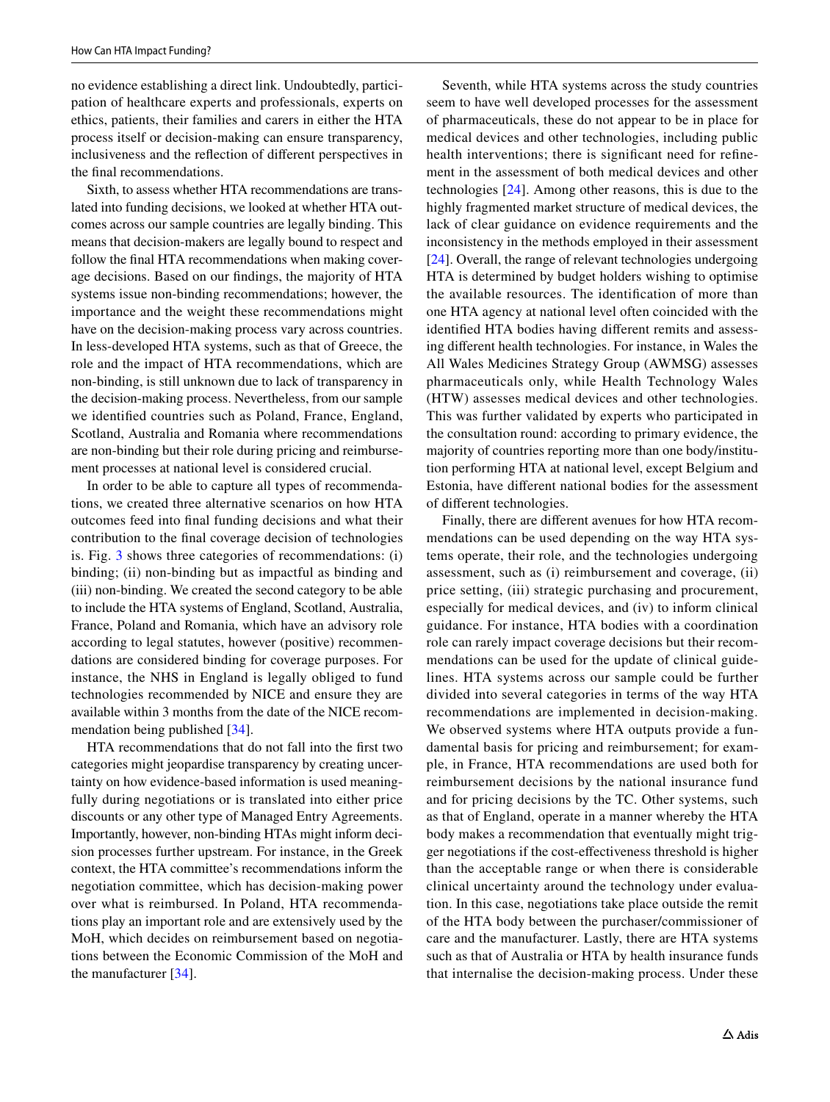no evidence establishing a direct link. Undoubtedly, participation of healthcare experts and professionals, experts on ethics, patients, their families and carers in either the HTA process itself or decision-making can ensure transparency, inclusiveness and the refection of diferent perspectives in the fnal recommendations.

Sixth, to assess whether HTA recommendations are translated into funding decisions, we looked at whether HTA outcomes across our sample countries are legally binding. This means that decision-makers are legally bound to respect and follow the fnal HTA recommendations when making coverage decisions. Based on our fndings, the majority of HTA systems issue non-binding recommendations; however, the importance and the weight these recommendations might have on the decision-making process vary across countries. In less-developed HTA systems, such as that of Greece, the role and the impact of HTA recommendations, which are non-binding, is still unknown due to lack of transparency in the decision-making process. Nevertheless, from our sample we identifed countries such as Poland, France, England, Scotland, Australia and Romania where recommendations are non-binding but their role during pricing and reimbursement processes at national level is considered crucial.

In order to be able to capture all types of recommendations, we created three alternative scenarios on how HTA outcomes feed into fnal funding decisions and what their contribution to the fnal coverage decision of technologies is. Fig. [3](#page-11-0) shows three categories of recommendations: (i) binding; (ii) non-binding but as impactful as binding and (iii) non-binding. We created the second category to be able to include the HTA systems of England, Scotland, Australia, France, Poland and Romania, which have an advisory role according to legal statutes, however (positive) recommendations are considered binding for coverage purposes. For instance, the NHS in England is legally obliged to fund technologies recommended by NICE and ensure they are available within 3 months from the date of the NICE recommendation being published [\[34](#page-13-14)].

HTA recommendations that do not fall into the frst two categories might jeopardise transparency by creating uncertainty on how evidence-based information is used meaningfully during negotiations or is translated into either price discounts or any other type of Managed Entry Agreements. Importantly, however, non-binding HTAs might inform decision processes further upstream. For instance, in the Greek context, the HTA committee's recommendations inform the negotiation committee, which has decision-making power over what is reimbursed. In Poland, HTA recommendations play an important role and are extensively used by the MoH, which decides on reimbursement based on negotiations between the Economic Commission of the MoH and the manufacturer [\[34](#page-13-14)].

Seventh, while HTA systems across the study countries seem to have well developed processes for the assessment of pharmaceuticals, these do not appear to be in place for medical devices and other technologies, including public health interventions; there is significant need for refinement in the assessment of both medical devices and other technologies [[24](#page-13-5)]. Among other reasons, this is due to the highly fragmented market structure of medical devices, the lack of clear guidance on evidence requirements and the inconsistency in the methods employed in their assessment [\[24\]](#page-13-5). Overall, the range of relevant technologies undergoing HTA is determined by budget holders wishing to optimise the available resources. The identifcation of more than one HTA agency at national level often coincided with the identifed HTA bodies having diferent remits and assessing diferent health technologies. For instance, in Wales the All Wales Medicines Strategy Group (AWMSG) assesses pharmaceuticals only, while Health Technology Wales (HTW) assesses medical devices and other technologies. This was further validated by experts who participated in the consultation round: according to primary evidence, the majority of countries reporting more than one body/institution performing HTA at national level, except Belgium and Estonia, have diferent national bodies for the assessment of diferent technologies.

Finally, there are diferent avenues for how HTA recommendations can be used depending on the way HTA systems operate, their role, and the technologies undergoing assessment, such as (i) reimbursement and coverage, (ii) price setting, (iii) strategic purchasing and procurement, especially for medical devices, and (iv) to inform clinical guidance. For instance, HTA bodies with a coordination role can rarely impact coverage decisions but their recommendations can be used for the update of clinical guidelines. HTA systems across our sample could be further divided into several categories in terms of the way HTA recommendations are implemented in decision-making. We observed systems where HTA outputs provide a fundamental basis for pricing and reimbursement; for example, in France, HTA recommendations are used both for reimbursement decisions by the national insurance fund and for pricing decisions by the TC. Other systems, such as that of England, operate in a manner whereby the HTA body makes a recommendation that eventually might trigger negotiations if the cost-efectiveness threshold is higher than the acceptable range or when there is considerable clinical uncertainty around the technology under evaluation. In this case, negotiations take place outside the remit of the HTA body between the purchaser/commissioner of care and the manufacturer. Lastly, there are HTA systems such as that of Australia or HTA by health insurance funds that internalise the decision-making process. Under these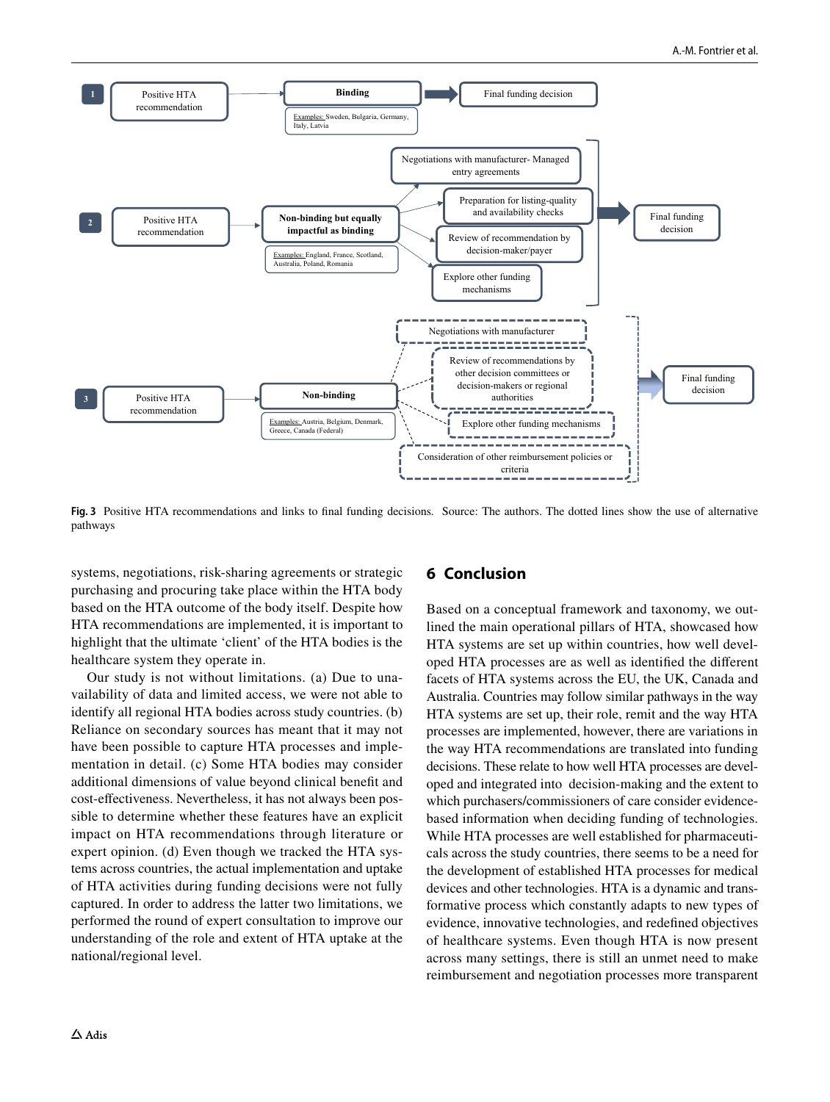

<span id="page-11-0"></span>**Fig. 3** Positive HTA recommendations and links to fnal funding decisions*.* Source: The authors. The dotted lines show the use of alternative pathways

systems, negotiations, risk-sharing agreements or strategic purchasing and procuring take place within the HTA body based on the HTA outcome of the body itself. Despite how HTA recommendations are implemented, it is important to highlight that the ultimate 'client' of the HTA bodies is the healthcare system they operate in.

Our study is not without limitations. (a) Due to unavailability of data and limited access, we were not able to identify all regional HTA bodies across study countries. (b) Reliance on secondary sources has meant that it may not have been possible to capture HTA processes and implementation in detail. (c) Some HTA bodies may consider additional dimensions of value beyond clinical beneft and cost-efectiveness. Nevertheless, it has not always been possible to determine whether these features have an explicit impact on HTA recommendations through literature or expert opinion. (d) Even though we tracked the HTA systems across countries, the actual implementation and uptake of HTA activities during funding decisions were not fully captured. In order to address the latter two limitations, we performed the round of expert consultation to improve our understanding of the role and extent of HTA uptake at the national/regional level.

## **6 Conclusion**

Based on a conceptual framework and taxonomy, we outlined the main operational pillars of HTA, showcased how HTA systems are set up within countries, how well developed HTA processes are as well as identifed the diferent facets of HTA systems across the EU, the UK, Canada and Australia. Countries may follow similar pathways in the way HTA systems are set up, their role, remit and the way HTA processes are implemented, however, there are variations in the way HTA recommendations are translated into funding decisions. These relate to how well HTA processes are developed and integrated into decision-making and the extent to which purchasers/commissioners of care consider evidencebased information when deciding funding of technologies. While HTA processes are well established for pharmaceuticals across the study countries, there seems to be a need for the development of established HTA processes for medical devices and other technologies. HTA is a dynamic and transformative process which constantly adapts to new types of evidence, innovative technologies, and redefned objectives of healthcare systems. Even though HTA is now present across many settings, there is still an unmet need to make reimbursement and negotiation processes more transparent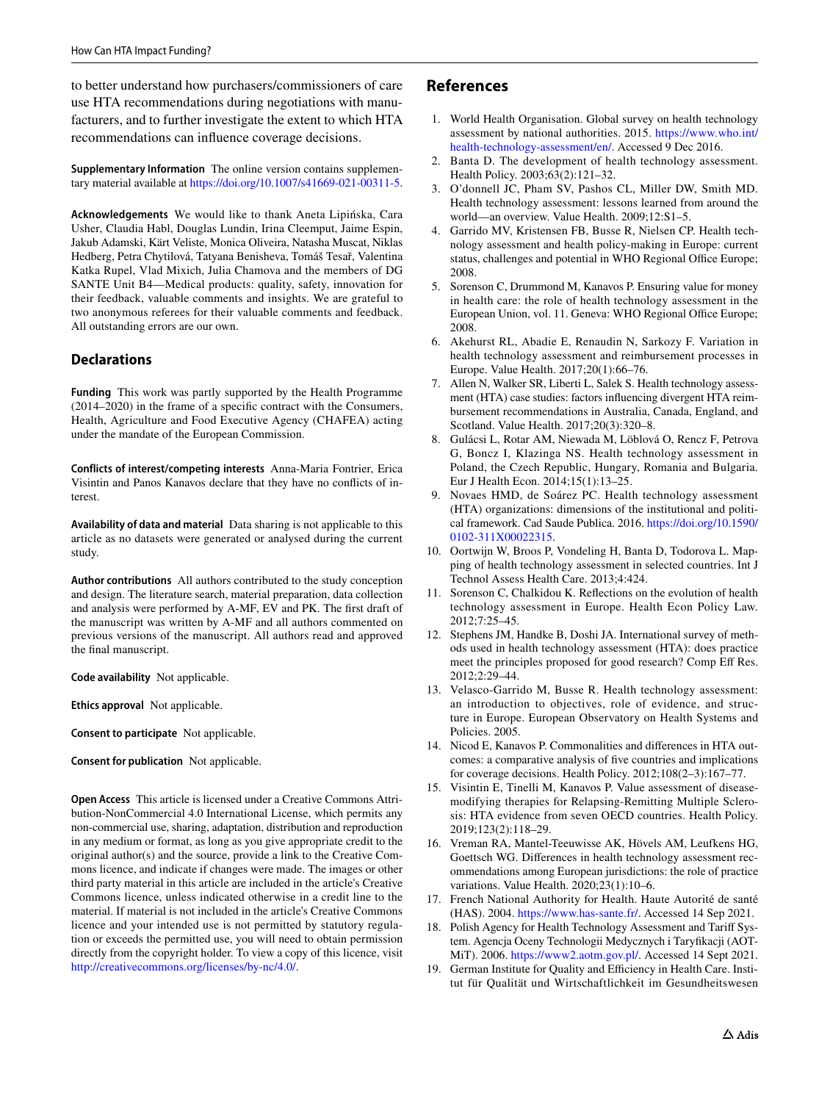to better understand how purchasers/commissioners of care use HTA recommendations during negotiations with manufacturers, and to further investigate the extent to which HTA recommendations can infuence coverage decisions.

**Supplementary Information** The online version contains supplementary material available at<https://doi.org/10.1007/s41669-021-00311-5>.

**Acknowledgements** We would like to thank Aneta Lipińska, Cara Usher, Claudia Habl, Douglas Lundin, Irina Cleemput, Jaime Espin, Jakub Adamski, Kärt Veliste, Monica Oliveira, Natasha Muscat, Niklas Hedberg, Petra Chytilová, Tatyana Benisheva, Tomáš Tesař, Valentina Katka Rupel, Vlad Mixich, Julia Chamova and the members of DG SANTE Unit B4—Medical products: quality, safety, innovation for their feedback, valuable comments and insights. We are grateful to two anonymous referees for their valuable comments and feedback. All outstanding errors are our own.

### **Declarations**

**Funding** This work was partly supported by the Health Programme (2014–2020) in the frame of a specifc contract with the Consumers, Health, Agriculture and Food Executive Agency (CHAFEA) acting under the mandate of the European Commission.

**Conflicts of interest/competing interests** Anna-Maria Fontrier, Erica Visintin and Panos Kanavos declare that they have no conficts of interest.

**Availability of data and material** Data sharing is not applicable to this article as no datasets were generated or analysed during the current study.

**Author contributions** All authors contributed to the study conception and design. The literature search, material preparation, data collection and analysis were performed by A-MF, EV and PK. The frst draft of the manuscript was written by A-MF and all authors commented on previous versions of the manuscript. All authors read and approved the fnal manuscript.

**Code availability** Not applicable.

**Ethics approval** Not applicable.

**Consent to participate** Not applicable.

**Consent for publication** Not applicable.

**Open Access** This article is licensed under a Creative Commons Attribution-NonCommercial 4.0 International License, which permits any non-commercial use, sharing, adaptation, distribution and reproduction in any medium or format, as long as you give appropriate credit to the original author(s) and the source, provide a link to the Creative Commons licence, and indicate if changes were made. The images or other third party material in this article are included in the article's Creative Commons licence, unless indicated otherwise in a credit line to the material. If material is not included in the article's Creative Commons licence and your intended use is not permitted by statutory regulation or exceeds the permitted use, you will need to obtain permission directly from the copyright holder. To view a copy of this licence, visit <http://creativecommons.org/licenses/by-nc/4.0/>.

### **References**

- <span id="page-12-0"></span>1. World Health Organisation. Global survey on health technology assessment by national authorities. 2015. [https://www.who.int/](https://www.who.int/health-technology-assessment/en/) [health-technology-assessment/en/](https://www.who.int/health-technology-assessment/en/). Accessed 9 Dec 2016.
- <span id="page-12-1"></span>2. Banta D. The development of health technology assessment. Health Policy. 2003;63(2):121–32.
- <span id="page-12-2"></span>3. O'donnell JC, Pham SV, Pashos CL, Miller DW, Smith MD. Health technology assessment: lessons learned from around the world—an overview. Value Health. 2009;12:S1–5.
- <span id="page-12-3"></span>4. Garrido MV, Kristensen FB, Busse R, Nielsen CP. Health technology assessment and health policy-making in Europe: current status, challenges and potential in WHO Regional Office Europe; 2008.
- <span id="page-12-4"></span>5. Sorenson C, Drummond M, Kanavos P. Ensuring value for money in health care: the role of health technology assessment in the European Union, vol. 11. Geneva: WHO Regional Office Europe; 2008.
- <span id="page-12-5"></span>6. Akehurst RL, Abadie E, Renaudin N, Sarkozy F. Variation in health technology assessment and reimbursement processes in Europe. Value Health. 2017;20(1):66–76.
- 7. Allen N, Walker SR, Liberti L, Salek S. Health technology assessment (HTA) case studies: factors infuencing divergent HTA reimbursement recommendations in Australia, Canada, England, and Scotland. Value Health. 2017;20(3):320–8.
- <span id="page-12-12"></span>8. Gulácsi L, Rotar AM, Niewada M, Löblová O, Rencz F, Petrova G, Boncz I, Klazinga NS. Health technology assessment in Poland, the Czech Republic, Hungary, Romania and Bulgaria. Eur J Health Econ. 2014;15(1):13–25.
- 9. Novaes HMD, de Soárez PC. Health technology assessment (HTA) organizations: dimensions of the institutional and political framework. Cad Saude Publica. 2016. [https://doi.org/10.1590/](https://doi.org/10.1590/0102-311X00022315) [0102-311X00022315.](https://doi.org/10.1590/0102-311X00022315)
- 10. Oortwijn W, Broos P, Vondeling H, Banta D, Todorova L. Mapping of health technology assessment in selected countries. Int J Technol Assess Health Care. 2013;4:424.
- 11. Sorenson C, Chalkidou K. Refections on the evolution of health technology assessment in Europe. Health Econ Policy Law. 2012;7:25–45.
- <span id="page-12-6"></span>12. Stephens JM, Handke B, Doshi JA. International survey of methods used in health technology assessment (HTA): does practice meet the principles proposed for good research? Comp Eff Res. 2012;2:29–44.
- <span id="page-12-7"></span>13. Velasco-Garrido M, Busse R. Health technology assessment: an introduction to objectives, role of evidence, and structure in Europe. European Observatory on Health Systems and Policies. 2005.
- <span id="page-12-8"></span>14. Nicod E, Kanavos P. Commonalities and diferences in HTA outcomes: a comparative analysis of fve countries and implications for coverage decisions. Health Policy. 2012;108(2–3):167–77.
- 15. Visintin E, Tinelli M, Kanavos P. Value assessment of diseasemodifying therapies for Relapsing-Remitting Multiple Sclerosis: HTA evidence from seven OECD countries. Health Policy. 2019;123(2):118–29.
- <span id="page-12-9"></span>16. Vreman RA, Mantel-Teeuwisse AK, Hövels AM, Leufkens HG, Goettsch WG. Diferences in health technology assessment recommendations among European jurisdictions: the role of practice variations. Value Health. 2020;23(1):10–6.
- <span id="page-12-10"></span>17. French National Authority for Health. Haute Autorité de santé (HAS). 2004. <https://www.has-sante.fr/>. Accessed 14 Sep 2021.
- 18. Polish Agency for Health Technology Assessment and Tarif System. Agencja Oceny Technologii Medycznych i Taryfkacji (AOT-MiT). 2006. <https://www2.aotm.gov.pl/>. Accessed 14 Sept 2021.
- <span id="page-12-11"></span>19. German Institute for Quality and Efficiency in Health Care. Institut für Qualität und Wirtschaftlichkeit im Gesundheitswesen